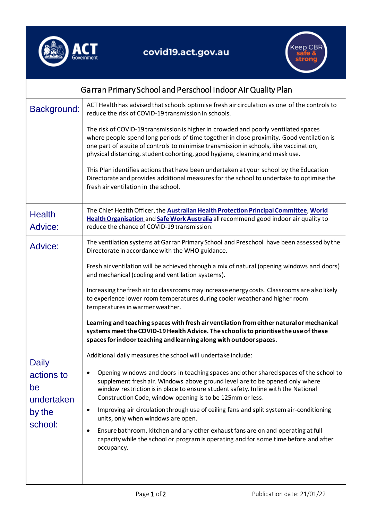



| Garran Primary School and Perschool Indoor Air Quality Plan         |                                                                                                                                                                                                                                                                                                                                                           |
|---------------------------------------------------------------------|-----------------------------------------------------------------------------------------------------------------------------------------------------------------------------------------------------------------------------------------------------------------------------------------------------------------------------------------------------------|
| Background:                                                         | ACT Health has advised that schools optimise fresh air circulation as one of the controls to<br>reduce the risk of COVID-19 transmission in schools.                                                                                                                                                                                                      |
|                                                                     | The risk of COVID-19 transmission is higher in crowded and poorly ventilated spaces<br>where people spend long periods of time together in close proximity. Good ventilation is<br>one part of a suite of controls to minimise transmission in schools, like vaccination,<br>physical distancing, student cohorting, good hygiene, cleaning and mask use. |
|                                                                     | This Plan identifies actions that have been undertaken at your school by the Education<br>Directorate and provides additional measures for the school to undertake to optimise the<br>fresh air ventilation in the school.                                                                                                                                |
| <b>Health</b><br>Advice:                                            | The Chief Health Officer, the Australian Health Protection Principal Committee, World<br>Health Organisation and Safe Work Australia all recommend good indoor air quality to<br>reduce the chance of COVID-19 transmission.                                                                                                                              |
| Advice:                                                             | The ventilation systems at Garran Primary School and Preschool have been assessed by the<br>Directorate in accordance with the WHO guidance.                                                                                                                                                                                                              |
|                                                                     | Fresh air ventilation will be achieved through a mix of natural (opening windows and doors)<br>and mechanical (cooling and ventilation systems).                                                                                                                                                                                                          |
|                                                                     | Increasing the fresh air to classrooms may increase energy costs. Classrooms are also likely<br>to experience lower room temperatures during cooler weather and higher room<br>temperatures in warmer weather.                                                                                                                                            |
|                                                                     | Learning and teaching spaces with fresh air ventilation from either natural or mechanical<br>systems meet the COVID-19 Health Advice. The school is to prioritise the use of these<br>spaces for indoor teaching and learning along with outdoor spaces.                                                                                                  |
| <b>Daily</b><br>actions to<br>be<br>undertaken<br>by the<br>school: | Additional daily measures the school will undertake include:                                                                                                                                                                                                                                                                                              |
|                                                                     | Opening windows and doors in teaching spaces and other shared spaces of the school to<br>$\bullet$<br>supplement fresh air. Windows above ground level are to be opened only where<br>window restriction is in place to ensure student safety. In line with the National<br>Construction Code, window opening is to be 125mm or less.                     |
|                                                                     | Improving air circulation through use of ceiling fans and split system air-conditioning<br>$\bullet$<br>units, only when windows are open.                                                                                                                                                                                                                |
|                                                                     | Ensure bathroom, kitchen and any other exhaust fans are on and operating at full<br>$\bullet$<br>capacity while the school or program is operating and for some time before and after<br>occupancy.                                                                                                                                                       |
|                                                                     |                                                                                                                                                                                                                                                                                                                                                           |